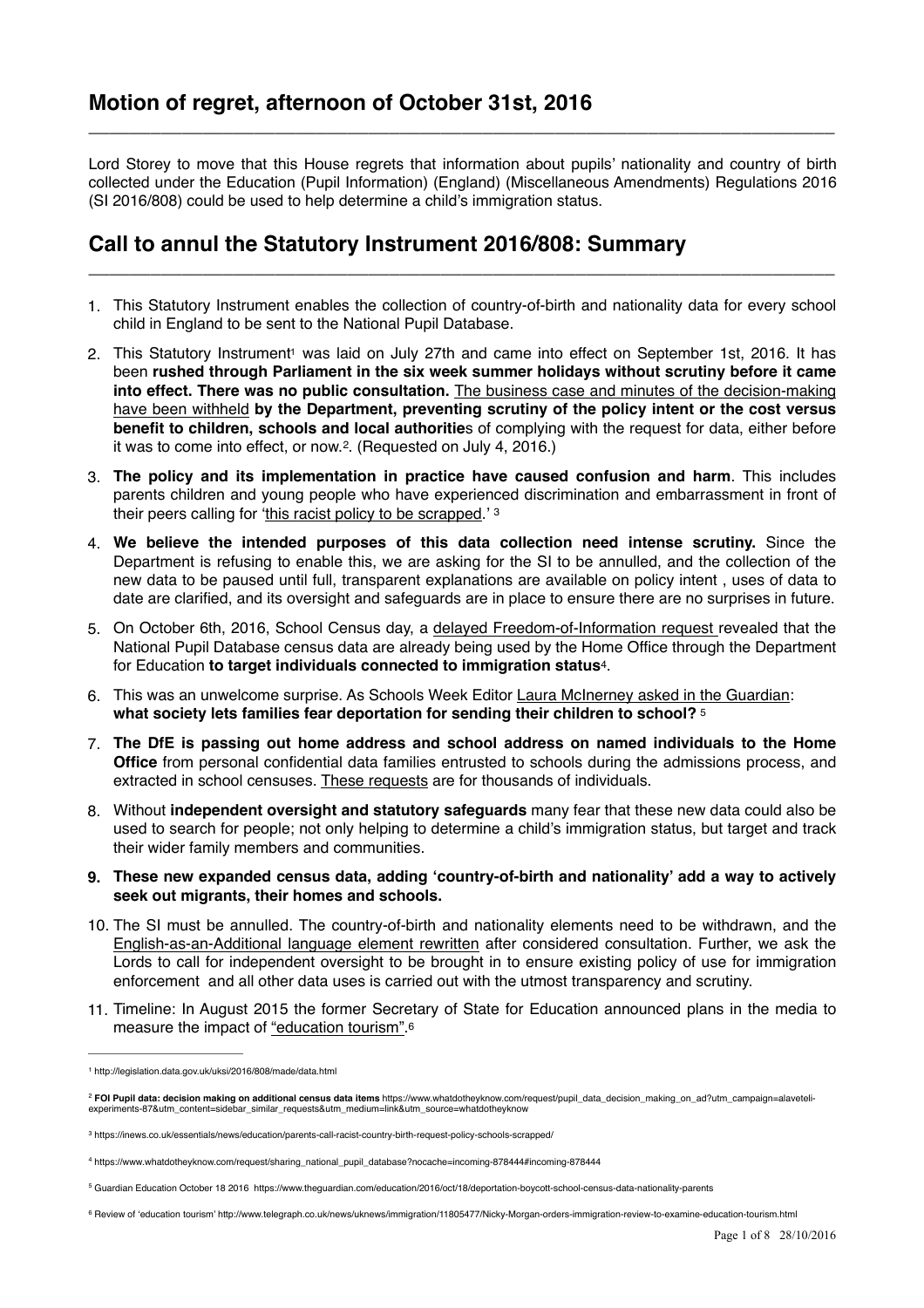Lord Storey to move that this House regrets that information about pupils' nationality and country of birth collected under the Education (Pupil Information) (England) (Miscellaneous Amendments) Regulations 2016 (SI 2016/808) could be used to help determine a child's immigration status.

**\_\_\_\_\_\_\_\_\_\_\_\_\_\_\_\_\_\_\_\_\_\_\_\_\_\_\_\_\_\_\_\_\_\_\_\_\_\_\_\_\_\_\_\_\_\_\_\_\_\_\_\_\_\_\_\_\_\_\_\_\_\_\_\_\_\_\_\_\_\_\_\_**

# **Call to annul the Statutory Instrument 2016/808: Summary**

1. This Statutory Instrument enables the collection of country-of-birth and nationality data for every school child in England to be sent to the National Pupil Database.

**\_\_\_\_\_\_\_\_\_\_\_\_\_\_\_\_\_\_\_\_\_\_\_\_\_\_\_\_\_\_\_\_\_\_\_\_\_\_\_\_\_\_\_\_\_\_\_\_\_\_\_\_\_\_\_\_\_\_\_\_\_\_\_\_\_\_\_\_\_\_\_\_**

- <span id="page-0-6"></span>2. This Statutory Instrumen[t](#page-0-0) was laid on July 27th and came into effect on September [1](#page-0-0)st, 2016. It has been **rushed through Parliament in the six week summer holidays without scrutiny before it came into effect. There was no public consultation.** The business case and minutes of the decision-making have been withheld **[by the Department, preventing scrutiny of the policy intent or the cost versus](https://www.whatdotheyknow.com/request/pupil_data_decision_making_on_ad?utm_campaign=alaveteli-experiments-87&utm_content=sidebar_similar_requests&utm_medium=link&utm_source=whatdotheyknow)  benefit to children, schools and local authoritie**s of complying with the request for data, either before it was to come into effect, or now.<sup>[2](#page-0-1)</sup>. (Requested on July 4, 2016.)
- <span id="page-0-7"></span>3. **The policy and its implementation in practice have caused confusion and harm**. This includes parents children and young people who have experienced discrimination and embarrassment in front of their peers calling for '[this racist policy to be scrapped](https://inews.co.uk/essentials/news/education/parents-call-racist-country-birth-request-policy-schools-scrapped/).' [3](#page-0-2)
- <span id="page-0-8"></span>4. **We believe the intended purposes of this data collection need intense scrutiny.** Since the Department is refusing to enable this, we are asking for the SI to be annulled, and the collection of the new data to be paused until full, transparent explanations are available on policy intent , uses of data to date are clarified, and its oversight and safeguards are in place to ensure there are no surprises in future.
- 5. On October 6th, 2016, School Census day, a [delayed Freedom-of-Information request r](https://www.whatdotheyknow.com/request/sharing_national_pupil_database?nocache=incoming-878444#incoming-878444)evealed that the National Pupil Database census data are already being used by the Home Office through the Department for Education to target individuals connected to immigration status<sup>4</sup>[.](#page-0-3)
- <span id="page-0-9"></span>6. This was an unwelcome surprise. As Schools Week Editor [Laura McInerney asked in the Guardian:](https://www.theguardian.com/education/2016/oct/18/deportation-boycott-school-census-data-nationality-parents) **what society lets families fear deportation for sending their children to school?** [5](#page-0-4)
- <span id="page-0-10"></span>7. **The DfE is passing out home address and school address on named individuals to the Home Office** from personal confidential data families entrusted to schools during the admissions process, and extracted in school censuses. [These requests](http://www.parliament.uk/business/publications/written-questions-answers-statements/written-question/Commons/2016-10-13/48635/) are for thousands of individuals.
- 8. Without **independent oversight and statutory safeguards** many fear that these new data could also be used to search for people; not only helping to determine a child's immigration status, but target and track their wider family members and communities.
- **9. These new expanded census data, adding 'country-of-birth and nationality' add a way to actively seek out migrants, their homes and schools.**
- 10. The SI must be annulled. The country-of-birth and nationality elements need to be withdrawn, and the [English-as-an-Additional language element rewritten](http://www.teachertoolkit.me/2016/10/01/eal-census/) after considered consultation. Further, we ask the Lords to call for independent oversight to be brought in to ensure existing policy of use for immigration enforcement and all other data uses is carried out with the utmost transparency and scrutiny.
- <span id="page-0-11"></span>11. Timeline: In August 2015 the former Secretary of State for Education announced plans in the media to measure the impact of ["education tourism"](http://www.telegraph.co.uk/news/uknews/immigration/11805477/Nicky-Morgan-orders-immigration-review-to-examine-education-tourism.html)[.6](#page-0-5)

<span id="page-0-0"></span><http://legislation.data.gov.uk/uksi/2016/808/made/data.html> [1](#page-0-6)

<span id="page-0-1"></span>**FOI Pupil data: decision making on additional census data items** [https://www.whatdotheyknow.com/request/pupil\\_data\\_decision\\_making\\_on\\_ad?utm\\_campaign=alaveteli-](https://www.whatdotheyknow.com/request/pupil_data_decision_making_on_ad?utm_campaign=alaveteli-experiments-87&utm_content=sidebar_similar_requests&utm_medium=link&utm_source=whatdotheyknow) [2](#page-0-7) experiments-87&utm\_content=sidebar\_similar\_requests&utm\_medium=link&utm\_source=whatdotheyknow

<span id="page-0-2"></span>https://inews.co.uk/essentials/news/education/parents-call-racist-country-birth-request-policy-schools-scrapped/ [3](#page-0-8)

<span id="page-0-3"></span>[https://www.whatdotheyknow.com/request/sharing\\_national\\_pupil\\_database?nocache=incoming-878444#incoming-878444](https://www.whatdotheyknow.com/request/sharing_national_pupil_database?nocache=incoming-878444#incoming-878444) [4](#page-0-9)

<span id="page-0-4"></span>Guardian Education October 18 2016 <https://www.theguardian.com/education/2016/oct/18/deportation-boycott-school-census-data-nationality-parents> [5](#page-0-10)

<span id="page-0-5"></span><sup>6</sup> Review of 'education tourism'<http://www.telegraph.co.uk/news/uknews/immigration/11805477/Nicky-Morgan-orders-immigration-review-to-examine-education-tourism.html>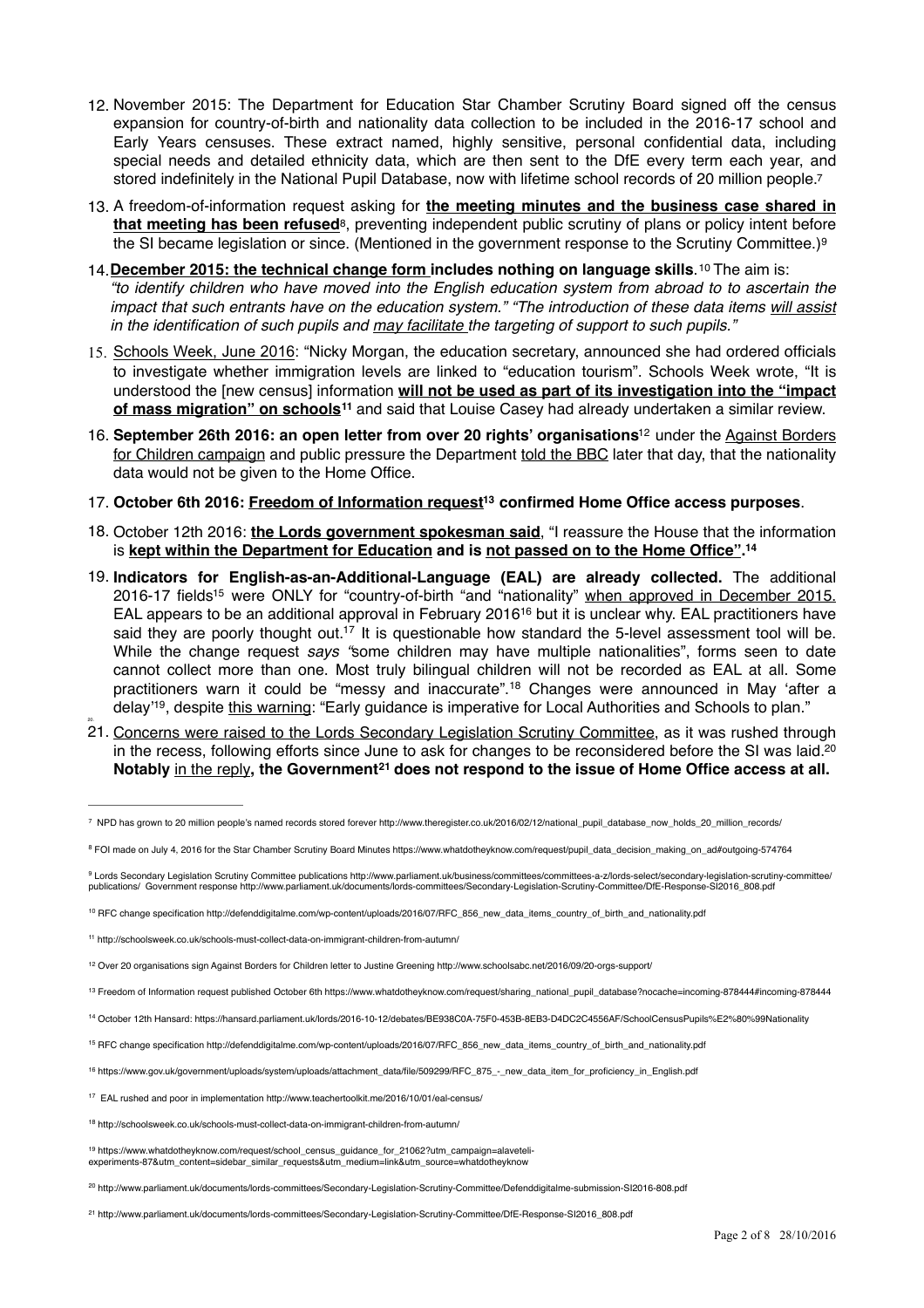- 12. November 2015: The Department for Education Star Chamber Scrutiny Board signed off the census expansion for country-of-birth and nationality data collection to be included in the 2016-17 school and Early Years censuses. These extract named, highly sensitive, personal confidential data, including special needs and detailed ethnicity data, which are then sent to the DfE every term each year, and stored indefinitely in the National Pupil Database, now with lifetime school records of 20 million people.<sup>[7](#page-1-0)</sup>
- <span id="page-1-16"></span><span id="page-1-15"></span>13. A freedom-of-information request asking for **the meeting minutes and the business case shared in that meeting has been refused**<sup>8</sup>, preventing independent public scrutiny of plans or policy intent before the SI became legislation or since. (Mentioned in the government response to the Scrutiny Committee.)<sup>9</sup>
- <span id="page-1-18"></span><span id="page-1-17"></span>14. [December 2015: the technical change form i](http://defenddigitalme.com/wp-content/uploads/2016/07/RFC_856_new_data_items_country_of_birth_and_nationality.pdf)ncludesnothing on language skills. <sup>[10](#page-1-3)</sup> The aim is: *"to identify children who have moved into the English education system from abroad to to ascertain the impact that such entrants have on the education system." "The introduction of these data items will assist in the identification of such pupils and may facilitate the targeting of support to such pupils."*
- 15. [Schools Week, June 2016:](http://www.apple.com) "Nicky Morgan, the education secretary, announced she had ordered officials to investigate whether immigration levels are linked to "education tourism". Schools Week wrote, "It is understood the [new census] information **will not be used as part of its investigation into the "impact of mass migration" on schools**<sup>11</sup> [and said that Louise Casey had already undertaken a similar review.](http://schoolsweek.co.uk/schools-must-collect-data-on-immigrant-children-from-autumn/)
- <span id="page-1-20"></span><span id="page-1-19"></span>16.September 26th 2016: an open letter from over 20 rights' organisations<sup>[12](#page-1-5)</sup> under the Against Borders [for Children campaign and public pressure the Department told the BBC later that day, that the nationality](https://www.schoolsabc.net/about/)  data would not be given to the Home Office.
- <span id="page-1-21"></span>17. **October 6th 2016: [Freedom of Information request](https://www.whatdotheyknow.com/request/sharing_national_pupil_database?nocache=incoming-878444#incoming-878444)confirmed Home Office access purposes**. **<sup>13</sup>**
- 18. October 12th 2016: **[the Lords government spokesman said](https://hansard.parliament.uk/lords/2016-10-12/debates/BE938C0A-75F0-453B-8EB3-D4DC2C4556AF/SchoolCensusPupils%E2%80%99Nationality)**, "I reassure the House that the information is **kept within the Department for Education and is not passed on to the Home Office". [14](#page-1-7)**
- <span id="page-1-25"></span><span id="page-1-24"></span><span id="page-1-23"></span><span id="page-1-22"></span>19. **Indicators for English-as-an-Additional-Language (EAL) are already collected.** The additional 2016-17 fields<sup>15</sup> were ONLY for "country-of-birth "and "nationality" [when approved in December 2015.](http://defenddigitalme.com/wp-content/uploads/2016/07/RFC_856_new_data_items_country_of_birth_and_nationality.pdf) EAL appears to be an additional approval in February 201[6](#page-1-9)<sup>[16](#page-1-9)</sup> but it is unclear why. EAL practitioners have said they are poorly thought out.<sup>[17](#page-1-10)</sup> It is questionable how standard the 5-level assessment tool will be. While the change request *says "*some children may have multiple nationalities", forms seen to date cannot collect more than one. Most truly bilingual children will not be recorded as EAL at all. Some practitioners warn it could be "messy and inaccurate".<sup>[18](#page-1-11)</sup> Changes were announced in May 'after a delay'<sup>19</sup>, despite [this warning:](https://www.whatdotheyknow.com/request/school_census_guidance_for_21062?utm_campaign=alaveteli-experiments-87&utm_content=sidebar_similar_requests&utm_medium=link&utm_source=whatdotheyknow) "Early guidance is imperative for Local Authorities and Schools to plan."
- 21. [Concerns were raised to the Lords Secondary Legislation Scrutiny Committee,](http://www.parliament.uk/documents/lords-committees/Secondary-Legislation-Scrutiny-Committee/DfE-Response-SI2016_808.pdf) as it was rushed through in the recess, following efforts since June to ask for changes to be reconsidered before the SI was laid.<sup>20</sup> Notably [in the reply](http://www.parliament.uk/documents/lords-committees/Secondary-Legislation-Scrutiny-Committee/DfE-Response-SI2016_808.pdf), the Government<sup>21</sup> does not respond to the issue of Home Office access at all.

<span id="page-1-29"></span><span id="page-1-28"></span><span id="page-1-27"></span><span id="page-1-26"></span>20.

- <span id="page-1-7"></span>October 12th Hansard:<https://hansard.parliament.uk/lords/2016-10-12/debates/BE938C0A-75F0-453B-8EB3-D4DC2C4556AF/SchoolCensusPupils%E2%80%99Nationality> [14](#page-1-22)
- <span id="page-1-8"></span>15 RFC change specification [http://defenddigitalme.com/wp-content/uploads/2016/07/RFC\\_856\\_new\\_data\\_items\\_country\\_of\\_birth\\_and\\_nationality.pdf](http://defenddigitalme.com/wp-content/uploads/2016/07/RFC_856_new_data_items_country_of_birth_and_nationality.pdf)

<span id="page-1-0"></span>[<sup>7</sup>](#page-1-15) NPD has grown to 20 million people's named records stored forever http://www.theregister.co.uk/2016/02/12/national\_pupil\_database\_now\_holds\_20\_million\_records/

<span id="page-1-1"></span><sup>8</sup> FOI made on July 4, 2016 for the Star Chamber Scrutiny Board Minutes [https://www.whatdotheyknow.com/request/pupil\\_data\\_decision\\_making\\_on\\_ad#outgoing-574764](https://www.whatdotheyknow.com/request/pupil_data_decision_making_on_ad#outgoing-574764)

<span id="page-1-2"></span><sup>&</sup>lt;sup>9</sup> [Lords Secondary Legislation Scrutiny Committee publications http://www.parliament.uk/business/committees/committees-a-z/lords-select/secondary-legislation-scrutiny-committee/](http://www.parliament.uk/business/committees/committees-a-z/lords-select/secondary-legislation-scrutiny-committee/publications/)<br>publications/ Government response http://ww

<span id="page-1-3"></span><sup>&</sup>lt;sup>10</sup> RFC change specification [http://defenddigitalme.com/wp-content/uploads/2016/07/RFC\\_856\\_new\\_data\\_items\\_country\\_of\\_birth\\_and\\_nationality.pdf](http://defenddigitalme.com/wp-content/uploads/2016/07/RFC_856_new_data_items_country_of_birth_and_nationality.pdf)

<span id="page-1-4"></span>http://schoolsweek.co.uk/schools-must-collect-data-on-immigrant-children-from-autumn/ [11](#page-1-19)

<span id="page-1-5"></span><sup>&</sup>lt;sup>[12](#page-1-20)</sup> Over 20 organisations sign Against Borders for Children letter to Justine Greening http://www.schoolsabc.net/2016/09/20-orgs-support/

<span id="page-1-6"></span><sup>13</sup> Freedom of Information request published October 6th [https://www.whatdotheyknow.com/request/sharing\\_national\\_pupil\\_database?nocache=incoming-878444#incoming-878444](https://www.whatdotheyknow.com/request/sharing_national_pupil_database?nocache=incoming-878444#incoming-878444)

<span id="page-1-9"></span><sup>16</sup> [https://www.gov.uk/government/uploads/system/uploads/attachment\\_data/file/509299/RFC\\_875\\_-\\_new\\_data\\_item\\_for\\_proficiency\\_in\\_English.pdf](https://www.gov.uk/government/uploads/system/uploads/attachment_data/file/509299/RFC_875_-_new_data_item_for_proficiency_in_English.pdf)

<span id="page-1-10"></span><sup>&</sup>lt;sup>[17](#page-1-25)</sup> EAL rushed and poor in implementation http://www.teachertoolkit.me/2016/10/01/eal-census/

<span id="page-1-11"></span><sup>&</sup>lt;sup>[18](#page-1-26)</sup> http://schoolsweek.co.uk/schools-must-collect-data-on-immigrant-children-from-autumn/

<span id="page-1-12"></span><sup>&</sup>lt;sup>19</sup> [https://www.whatdotheyknow.com/request/school\\_census\\_guidance\\_for\\_21062?utm\\_campaign=alaveteli](https://www.whatdotheyknow.com/request/school_census_guidance_for_21062?utm_campaign=alaveteli-experiments-87&utm_content=sidebar_similar_requests&utm_medium=link&utm_source=whatdotheyknow) experiments-87&utm\_content=sidebar\_similar\_requests&utm\_medium=link&utm\_source=whatdotheyknow

<span id="page-1-13"></span><http://www.parliament.uk/documents/lords-committees/Secondary-Legislation-Scrutiny-Committee/Defenddigitalme-submission-SI2016-808.pdf> [20](#page-1-28)

<span id="page-1-14"></span>[http://www.parliament.uk/documents/lords-committees/Secondary-Legislation-Scrutiny-Committee/DfE-Response-SI2016\\_808.pdf](http://www.parliament.uk/documents/lords-committees/Secondary-Legislation-Scrutiny-Committee/DfE-Response-SI2016_808.pdf) [21](#page-1-29)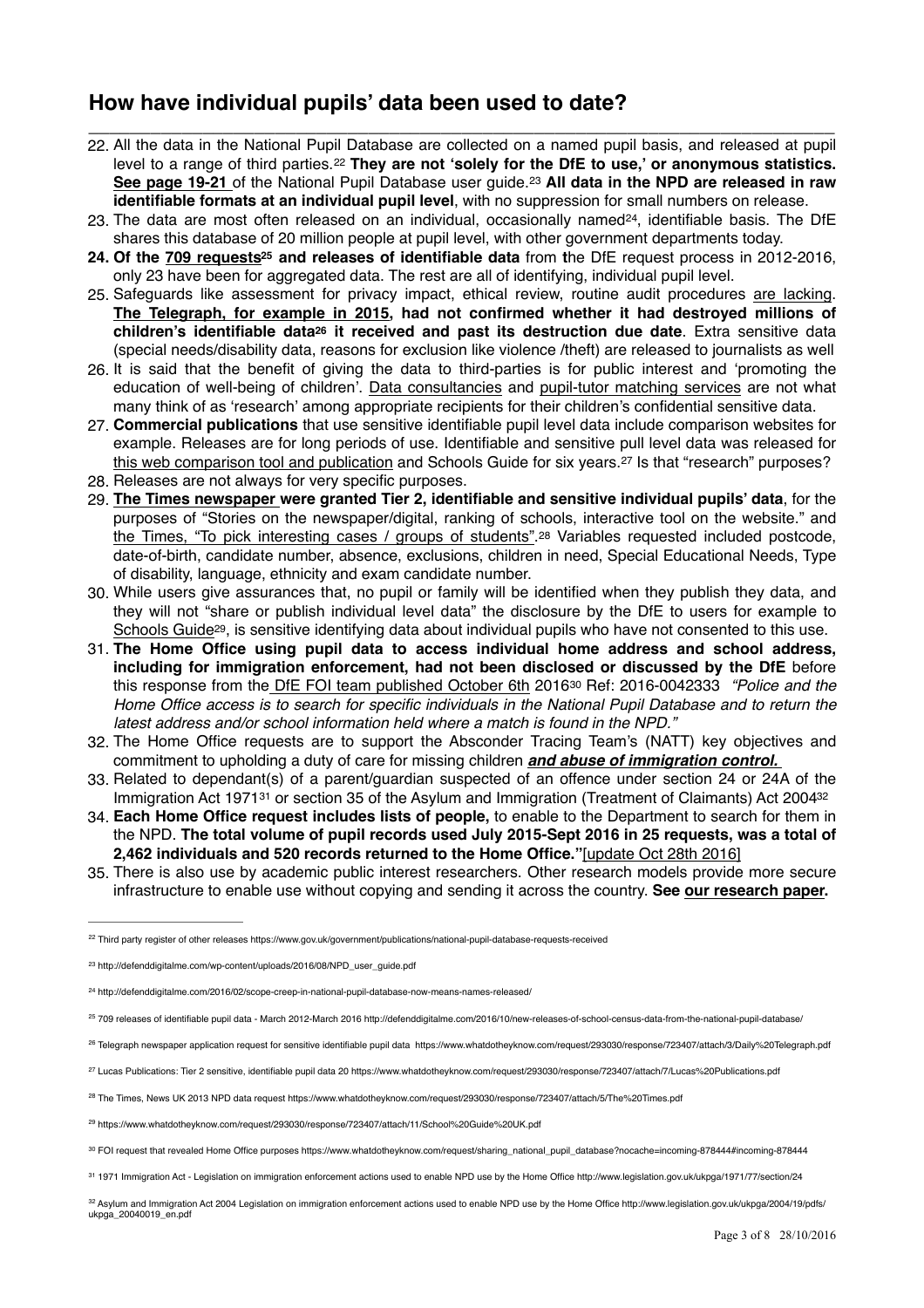# **How have individual pupils' data been used to date?**

- **\_\_\_\_\_\_\_\_\_\_\_\_\_\_\_\_\_\_\_\_\_\_\_\_\_\_\_\_\_\_\_\_\_\_\_\_\_\_\_\_\_\_\_\_\_\_\_\_\_\_\_\_\_\_\_\_\_\_\_\_\_\_\_\_\_\_\_\_\_\_\_\_**  22. All the data in the National Pupil Database are collected on a named pupil basis, and released at pupil level to a range of third parties.<sup>[22](#page-2-0)</sup> They are not 'solely for the DfE to use,' or anonymous statistics. **[See page 19-21](http://defenddigitalme.com/wp-content/uploads/2016/08/NPD_user_guide.pdf)** of the National Pupil Database user guide. **All data in the NPD are released in raw** [23](#page-2-1) **identifiable formats at an individual pupil level**, with no suppression for small numbers on release.
- <span id="page-2-13"></span><span id="page-2-12"></span><span id="page-2-11"></span>23. The data are most often released on an individual, occasionally named<sup>[24](#page-2-2)</sup>, identifiable basis. The DfE shares this database of 20 million people at pupil level, with other government departments today.
- <span id="page-2-14"></span>**24. Of the [709 requests](http://defenddigitalme.com/2016/10/new-releases-of-school-census-data-from-the-national-pupil-database/)and releases of identifiable data** from **t**he DfE request process in 2012-2016, **<sup>25</sup>** only 23 have been for aggregated data. The rest are all of identifying, individual pupil level.
- 25. Safeguards like assessment for privacy impact, ethical review, routine audit procedures [are lacking.](https://www.whatdotheyknow.com/request/pupil_data_application_approvals?utm_campaign=alaveteli-experiments-87&utm_content=sidebar_similar_requests&utm_medium=link&utm_source=whatdotheyknow) **The Telegraph, [for example in 2015,](https://www.whatdotheyknow.com/request/293030/response/723407/attach/3/Daily%20Telegraph.pdf) had not confirmed whether it had destroyed millions of children's identifiable data<sup>26</sup> it received and past its destruction due date**. Extr[a](#page-2-4) sensitive data (special needs/disability data, reasons for exclusion like violence /theft) are released to journalists as well
- <span id="page-2-15"></span>26. It is said that the benefit of giving the data to third-parties is for public interest and 'promoting the education of well-being of children'. [Data consultancies](http://www.alphaplusconsultancy.co.uk/) and [pupil-tutor matching services](https://www.tutorhunt.com/) are not what many think of as 'research' among appropriate recipients for their children's confidential sensitive data.
- 27. **Commercial publications** that use sensitive identifiable pupil level data include comparison websites for example. Releases are for long periods of use. Identifiable and sensitive pull level data was released for [this web comparison tool and publication](https://www.whatdotheyknow.com/request/293030/response/723407/attach/7/Lucas%20Publications.pdf) and Schools Guide for six years.[27](#page-2-5) Is that "research" purposes?
- 28. Releases are not always for very specific purposes.
- <span id="page-2-17"></span><span id="page-2-16"></span>29. **[The Times newspaper](https://www.whatdotheyknow.com/request/293030/response/723407/attach/5/The%20Times.pdf) were granted Tier 2, identifiable and sensitive individual pupils' data**, for the purposes of "Stories on the newspaper/digital, ranking of schools, interactive tool on the website." and [the Times, "To pick interesting cases / groups of students"](https://www.whatdotheyknow.com/request/293030/response/723407/attach/5/The%20Times.pdf), <sup>[28](#page-2-6)</sup> Variables requested included postcode, date-of-birth, candidate number, absence, exclusions, children in need, Special Educational Needs, Type of disability, language, ethnicity and exam candidate number.
- 30. While users give assurances that, no pupil or family will be identified when they publish they data, and they will not "share or publish individual level data" the disclosure by the DfE to users for example to [Schools Guide](https://www.whatdotheyknow.com/request/293030/response/723407/attach/11/School%20Guide%20UK.pdf)<sup>29</sup>[,](#page-2-7) is sensitive identifying data about individual pupils who have not consented to this use.
- <span id="page-2-19"></span><span id="page-2-18"></span>31. **The Home Office using pupil data to access individual home address and school address, including for immigration enforcement, had not been disclosed or discussed by the DfE** before this response from the [DfE FOI team published October 6th](https://www.whatdotheyknow.com/request/sharing_national_pupil_database?nocache=incoming-878444#incoming-878444) 2016<sup>30</sup> Ref: 2016-0042333 *"Police and the Home Office access is to search for specific individuals in the National Pupil Database and to return the latest address and/or school information held where a match is found in the NPD."*
- 32. The Home Office requests are to support the Absconder Tracing Team's (NATT) key objectives and commitment to upholding a duty of care for missing children *and abuse of immigration control.*
- 33. Related to dependant(s) of a parent/guardian suspected of an offence under section 24 or 24A of the Immigration Act 1971<sup>[31](#page-2-9)</sup> or section 35 of the Asylum and Immigration (Treatment of Claimants) Act 2004<sup>32</sup>
- <span id="page-2-21"></span><span id="page-2-20"></span>34. **Each Home Office request includes lists of people,** to enable to the Department to search for them in the NPD. **The total volume of pupil records used July 2015-Sept 2016 in 25 requests, was a total of 2,462 individuals and 520 records returned to the Home Office."**[\[update Oct 28th 2016\]](http://www.parliament.uk/business/publications/written-questions-answers-statements/written-question/Commons/2016-10-13/48635/)
- 35. There is also use by academic public interest researchers. Other research models provide more secure infrastructure to enable use without copying and sending it across the country. **See [our research paper.](http://defenddigitalme.com/wp-content/uploads/2016/09/58_Persson_PRINT_last.pdf)**

- <span id="page-2-3"></span>709 releases of identifiable pupil data - March 2012-March 2016 http://defenddigitalme.com/2016/10/new-releases-of-school-census-data-from-the-national-pupil-database/ [25](#page-2-14)
- <span id="page-2-4"></span>26 Telegraph newspaper application request for sensitive identifiable pupil data <https://www.whatdotheyknow.com/request/293030/response/723407/attach/3/Daily%20Telegraph.pdf>

<span id="page-2-6"></span>The Times, News UK 2013 NPD data request<https://www.whatdotheyknow.com/request/293030/response/723407/attach/5/The%20Times.pdf> [28](#page-2-17)

<span id="page-2-0"></span><sup>22</sup> Third party register of other releases<https://www.gov.uk/government/publications/national-pupil-database-requests-received>

<span id="page-2-1"></span><sup>&</sup>lt;sup>23</sup> [http://defenddigitalme.com/wp-content/uploads/2016/08/NPD\\_user\\_guide.pdf](http://defenddigitalme.com/wp-content/uploads/2016/08/NPD_user_guide.pdf)

<span id="page-2-2"></span>http://defenddigitalme.com/2016/02/scope-creep-in-national-pupil-database-now-means-names-released/ [24](#page-2-13)

<span id="page-2-5"></span><sup>&</sup>lt;sup>27</sup> Lucas Publications: Tier 2 sensitive, identifiable pupil data 20<https://www.whatdotheyknow.com/request/293030/response/723407/attach/7/Lucas%20Publications.pdf>

<span id="page-2-7"></span><sup>&</sup>lt;sup>29</sup> <https://www.whatdotheyknow.com/request/293030/response/723407/attach/11/School%20Guide%20UK.pdf>

<span id="page-2-8"></span>FOI request that revealed Home Office purposes [https://www.whatdotheyknow.com/request/sharing\\_national\\_pupil\\_database?nocache=incoming-878444#incoming-878444](https://www.whatdotheyknow.com/request/sharing_national_pupil_database?nocache=incoming-878444#incoming-878444) [30](#page-2-19)

<span id="page-2-9"></span><sup>31 1971</sup> Immigration Act - Legislation on immigration enforcement actions used to enable NPD use by the Home Office<http://www.legislation.gov.uk/ukpga/1971/77/section/24>

<span id="page-2-10"></span><sup>32</sup> [Asylum and Immigration Act 2004 Legislation on immigration enforcement actions used to enable NPD use by the Home Office http://www.legislation.gov.uk/ukpga/2004/19/pdfs/](http://www.legislation.gov.uk/ukpga/2004/19/pdfs/ukpga_20040019_en.pdf) ukpga\_20040019\_en.pdf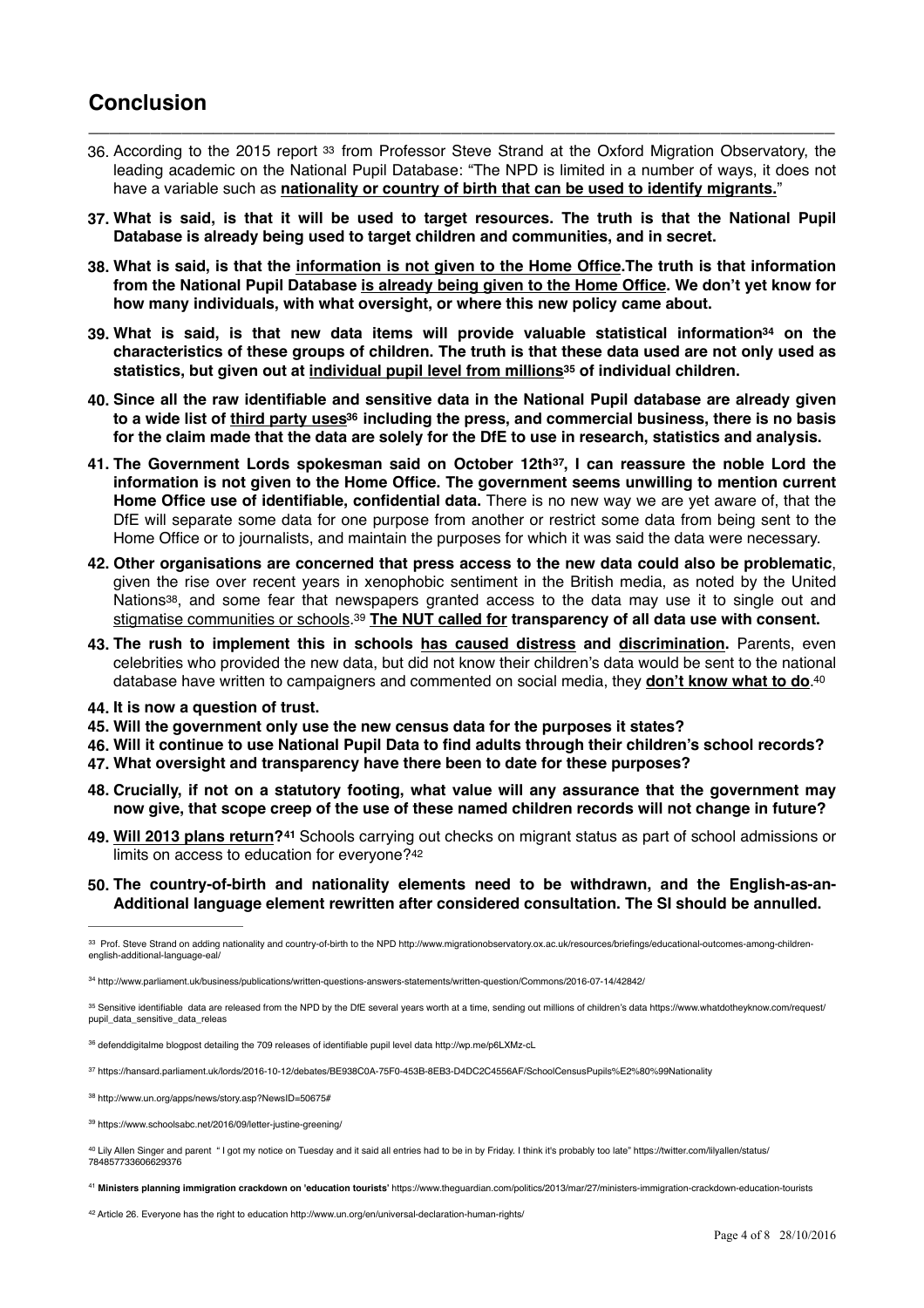# **Conclusion**

36. According to the 2015 report [33](#page-3-0) from Professor Steve Strand at the Oxford Migration Observatory, the leading academic on the National Pupil Database: "The NPD is limited in a number of ways, it does not have a variable such as **nationality or country of birth that can be used to identify migrants.**"

<span id="page-3-10"></span>**\_\_\_\_\_\_\_\_\_\_\_\_\_\_\_\_\_\_\_\_\_\_\_\_\_\_\_\_\_\_\_\_\_\_\_\_\_\_\_\_\_\_\_\_\_\_\_\_\_\_\_\_\_\_\_\_\_\_\_\_\_\_\_\_\_\_\_\_\_\_\_\_**

- **37. What is said, is that it will be used to target resources. The truth is that the National Pupil Database is already being used to target children and communities, and in secret.**
- **38. What is said, is that the [information is not given to the Home Office.](https://www.youtube.com/watch?v=hP1lOA2d2ss)The truth is that information from the National Pupil Database [is already being given to the Home Office](http://defenddigitalme.com/2016/10/pupil-data-questions-before-the-lords-debate-on-october-31st/). We don't yet know for how many individuals, with what oversight, or where this new policy came about.**
- <span id="page-3-11"></span>**39.** What is said, is that new data items will provide valuable statistical information<sup>34</sup> o[n](#page-3-1) the **characteristics of these groups of children. The truth is that these data used are not only used as statistics, but given out at [individual pupil level from millions](https://www.whatdotheyknow.com/request/pupil_data_sensitive_data_releas) of individual children. <sup>35</sup>**
- <span id="page-3-13"></span><span id="page-3-12"></span>**40. Since all the raw identifiable and sensitive data in the National Pupil database are already given to a wide list of [third party uses](http://wp.me/p6LXMz-cL)including the press, and commercial business, there is no basis [36](#page-3-3) for the claim made that the data are solely for the DfE to use in research, statistics and analysis.**
- <span id="page-3-14"></span>**41. The Government Lords spokesman said on October 12th , I can reassure the noble Lord the [37](#page-3-4) information is not given to the Home Office. The government seems unwilling to mention current Home Office use of identifiable, confidential data.** There is no new way we are yet aware of, that the DfE will separate some data for one purpose from another or restrict some data from being sent to the Home Office or to journalists, and maintain the purposes for which it was said the data were necessary.
- **42. Other organisations are concerned that press access to the new data could also be problematic**, given the rise over recent years in xenophobic sentiment in the British media, as noted by the United Nations<sup>[38](#page-3-5)</sup>, and some fear that newspapers granted access to the data may use it to single out and [stigmatise communities or schools](https://www.schoolsabc.net/2016/09/letter-justine-greening/).<sup>39</sup> [The NUT called for](https://www.teachers.org.uk/news-events/press-releases-england/school-census-data) transparency of all data use with consent.
- <span id="page-3-16"></span><span id="page-3-15"></span>**43. The rush to implement this in schools [has caused distress](https://inews.co.uk/essentials/news/education/parents-call-racist-country-birth-request-policy-schools-scrapped/) and [discrimination.](http://schoolsweek.co.uk/pupils-who-were-not-white-british-told-to-send-in-birthplace-data/)** Parents, even celebrities who provided the new data, but did not know their children's data would be sent to the national database have written to campaigners and commented on social media, they **[don't know what to do](https://twitter.com/lilyallen/status/784857733606629376)**[.40](#page-3-7)
- <span id="page-3-17"></span>**44. It is now a question of trust.**
- **45. Will the government only use the new census data for the purposes it states?**
- **46. Will it continue to use National Pupil Data to find adults through their children's school records?**
- **47. What oversight and transparency have there been to date for these purposes?**
- **48. Crucially, if not on a statutory footing, what value will any assurance that the government may now give, that scope creep of the use of these named children records will not change in future?**
- <span id="page-3-18"></span>**49. [Will 2013 plans return?](https://www.theguardian.com/politics/2013/mar/27/ministers-immigration-crackdown-education-tourists)**<sup>[41](#page-3-8)</sup> Schools carrying out checks on migrant status as part of school admissions or limits on access to education for everyone?[42](#page-3-9)
- <span id="page-3-19"></span>**50. The country-of-birth and nationality elements need to be withdrawn, and the English-as-an-Additional language element rewritten after considered consultation. The SI should be annulled.**

<span id="page-3-7"></span>40 [Lily Allen Singer and parent " I got my notice on Tuesday and it said all entries had to be in by Friday. I think it's probably too late" https://twitter.com/lilyallen/status/](https://twitter.com/lilyallen/status/784857733606629376) 784857733606629376

<span id="page-3-8"></span> **Ministers planning immigration crackdown on 'education tourists'** <https://www.theguardian.com/politics/2013/mar/27/ministers-immigration-crackdown-education-tourists> [41](#page-3-18)

<span id="page-3-9"></span>[42](#page-3-19) Article 26. Everyone has the right to education http://www.un.org/en/universal-declaration-human-rights/

<span id="page-3-0"></span><sup>33</sup> [Prof. Steve Strand on adding nationality and country-of-birth to the NPD http://www.migrationobservatory.ox.ac.uk/resources/briefings/educational-outcomes-among-children](http://www.migrationobservatory.ox.ac.uk/resources/briefings/educational-outcomes-among-children-english-additional-language-eal/) english-additional-language-eal/

<span id="page-3-1"></span><sup>&</sup>lt;sup>[34](#page-3-11)</sup> http://www.parliament.uk/business/publications/written-questions-answers-statements/written-question/Commons/2016-07-14/42842/

<span id="page-3-2"></span><sup>35</sup> [Sensitive identifiable data are released from the NPD by the DfE several years worth at a time, sending out millions of children's data https://www.whatdotheyknow.com/request/](https://www.whatdotheyknow.com/request/pupil_data_sensitive_data_releas) pupil\_data\_sensitive\_data\_releas

<span id="page-3-3"></span><sup>36</sup> defenddigitalme blogpost detailing the 709 releases of identifiable pupil level data<http://wp.me/p6LXMz-cL>

<span id="page-3-4"></span><https://hansard.parliament.uk/lords/2016-10-12/debates/BE938C0A-75F0-453B-8EB3-D4DC2C4556AF/SchoolCensusPupils%E2%80%99Nationality> [37](#page-3-14)

<span id="page-3-5"></span>[<sup>38</sup>](#page-3-15) http://www.un.org/apps/news/story.asp?NewsID=50675#

<span id="page-3-6"></span>[<sup>39</sup>](#page-3-16) https://www.schoolsabc.net/2016/09/letter-justine-greening/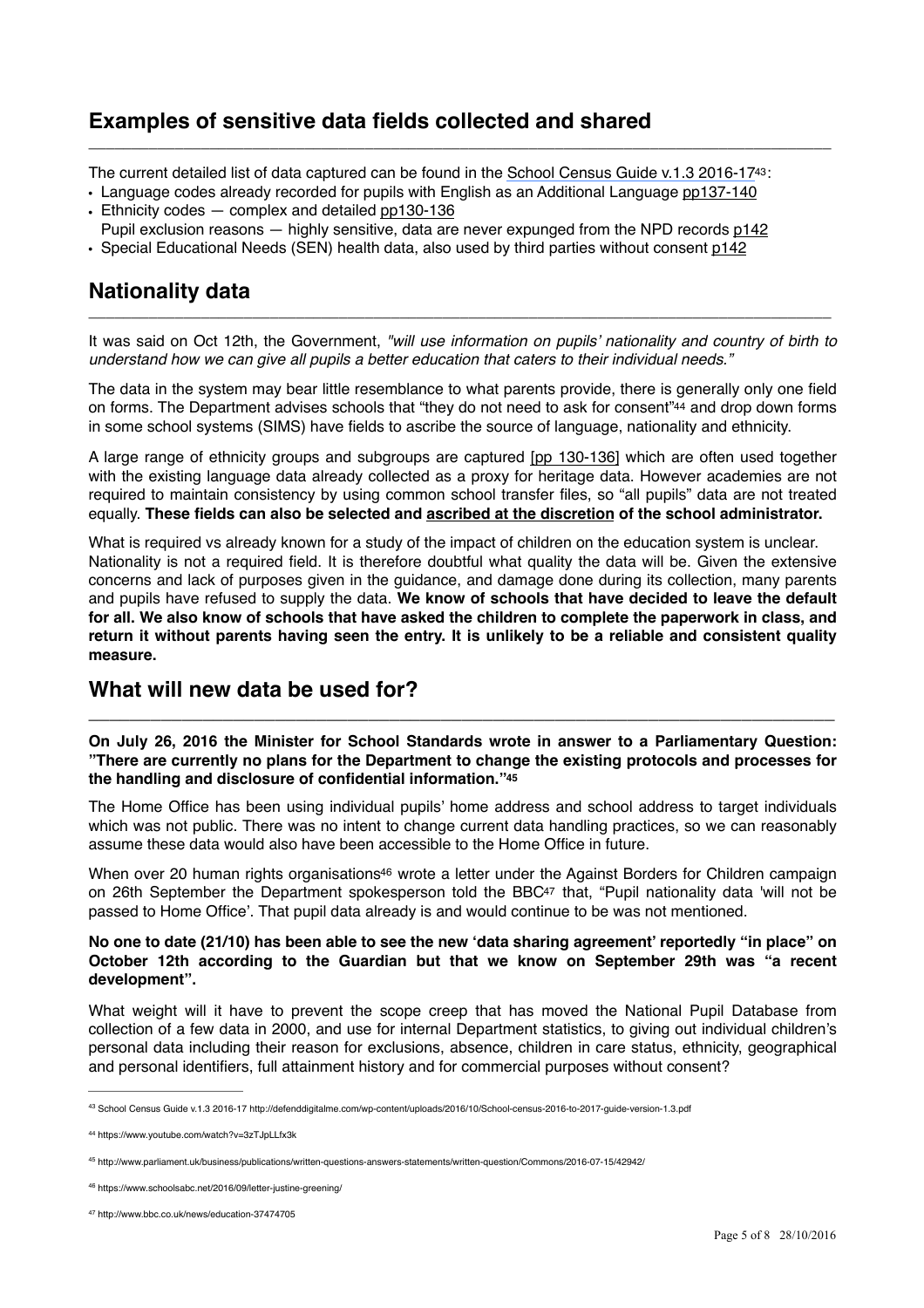# **Examples of sensitive data fields collected and shared**

The current detailed list of data captured can be found in the [School Census Guide v.1.3 2016-17](http://defenddigitalme.com/wp-content/uploads/2016/10/School-census-2016-to-2017-guide-version-1.3.pdf)<sup>[43](#page-4-0)</sup>:

<span id="page-4-5"></span>\_\_\_\_\_\_\_\_\_\_\_\_\_\_\_\_\_\_\_\_\_\_\_\_\_\_\_\_\_\_\_\_\_\_\_\_\_\_\_\_\_\_\_\_\_\_\_\_\_\_\_\_\_\_\_\_\_\_\_\_\_\_\_\_\_\_\_\_\_\_\_\_\_\_\_\_\_\_\_\_\_\_\_\_\_\_

- Language codes already recorded for pupils with English as an Additional Language [pp137-140](http://defenddigitalme.com/wp-content/uploads/2016/10/School-census-2016-to-2017-guide-version-1.3.pdf) • Ethnicity codes — complex and detailed [pp130-136](http://defenddigitalme.com/wp-content/uploads/2016/10/School-census-2016-to-2017-guide-version-1.3.pdf)
- Pupil exclusion reasons highly sensitive, data are never expunged from the NPD records [p142](http://defenddigitalme.com/wp-content/uploads/2016/10/School-census-2016-to-2017-guide-version-1.3.pdf)
- Special Educational Needs (SEN) health data, also used by third parties without consent [p142](http://defenddigitalme.com/wp-content/uploads/2016/10/School-census-2016-to-2017-guide-version-1.3.pdf)

# **Nationality data**

It was said on Oct 12th, the Government, *"will use information on pupils' nationality and country of birth to understand how we can give all pupils a better education that caters to their individual needs."*

\_\_\_\_\_\_\_\_\_\_\_\_\_\_\_\_\_\_\_\_\_\_\_\_\_\_\_\_\_\_\_\_\_\_\_\_\_\_\_\_\_\_\_\_\_\_\_\_\_\_\_\_\_\_\_\_\_\_\_\_\_\_\_\_\_\_\_\_\_\_\_\_\_\_\_\_\_\_\_\_\_\_\_\_\_\_

<span id="page-4-6"></span>The data in the system may bear little resemblance to what parents provide, there is generally only one field on forms. The Department advises schools that ["](#page-4-1)they do not need to ask for consent"<sup>[44](#page-4-1)</sup> and drop down forms in some school systems (SIMS) have fields to ascribe the source of language, nationality and ethnicity.

A large range of ethnicity groups and subgroups are captured [\[pp 130-136\]](http://defenddigitalme.com/wp-content/uploads/2016/10/School-census-2016-to-2017-guide-version-1.3.pdf) which are often used together with the existing language data already collected as a proxy for heritage data. However academies are not required to maintain consistency by using common school transfer files, so "all pupils" data are not treated equally. **These fields can also be selected and [ascribed at the discretion](http://www.independent.co.uk/news/education/education-news/schools-told-to-guess-pupil-ethnicity-a7372271.html) of the school administrator.** 

What is required vs already known for a study of the impact of children on the education system is unclear. Nationality is not a required field. It is therefore doubtful what quality the data will be. Given the extensive concerns and lack of purposes given in the guidance, and damage done during its collection, many parents and pupils have refused to supply the data. **We know of schools that have decided to leave the default for all. We also know of schools that have asked the children to complete the paperwork in class, and return it without parents having seen the entry. It is unlikely to be a reliable and consistent quality measure.**

# **What will new data be used for?**

**On July 26, 2016 the Minister for School Standards wrote in answer to a Parliamentary Question: "There are currently no plans for the Department to change the existing protocols and processes for the handling and disclosure of confidential information.["45](#page-4-2)**

**\_\_\_\_\_\_\_\_\_\_\_\_\_\_\_\_\_\_\_\_\_\_\_\_\_\_\_\_\_\_\_\_\_\_\_\_\_\_\_\_\_\_\_\_\_\_\_\_\_\_\_\_\_\_\_\_\_\_\_\_\_\_\_\_\_\_\_\_\_\_\_\_**

<span id="page-4-7"></span>The Home Office has been using individual pupils' home address and school address to target individuals which was not public. There was no intent to change current data handling practices, so we can reasonably assume these data would also have been accessible to the Home Office in future.

<span id="page-4-9"></span><span id="page-4-8"></span>When over 20 human right[s](#page-4-3) organisations<sup>[46](#page-4-3)</sup> wrote a letter under the Against Borders for Children campaign on 26th September the Department spokesperson told the BBC<sup>[47](#page-4-4)</sup> that, "Pupil nationality data 'will not be passed to Home Office'. That pupil data already is and would continue to be was not mentioned.

#### **No one to date (21/10) has been able to see the new 'data sharing agreement' reportedly "in place" on October 12th according to the Guardian but that we know on September 29th was "a recent development".**

What weight will it have to prevent the scope creep that has moved the National Pupil Database from collection of a few data in 2000, and use for internal Department statistics, to giving out individual children's personal data including their reason for exclusions, absence, children in care status, ethnicity, geographical and personal identifiers, full attainment history and for commercial purposes without consent?

<span id="page-4-0"></span>[School Census Guide v.1.3 2016-17 http://defenddigitalme.com/wp-content/uploads/2016/10/School-census-2016-to-2017-guide-version-1.3.pdf](http://defenddigitalme.com/wp-content/uploads/2016/10/School-census-2016-to-2017-guide-version-1.3.pdf) [43](#page-4-5)

<span id="page-4-1"></span><https://www.youtube.com/watch?v=3zTJpLLfx3k> [44](#page-4-6)

<span id="page-4-2"></span>http://www.parliament.uk/business/publications/written-questions-answers-statements/written-question/Commons/2016-07-15/42942/ [45](#page-4-7)

<span id="page-4-3"></span><sup>&</sup>lt;sup>[46](#page-4-8)</sup> https://www.schoolsabc.net/2016/09/letter-justine-greening/

<span id="page-4-4"></span><http://www.bbc.co.uk/news/education-37474705> [47](#page-4-9)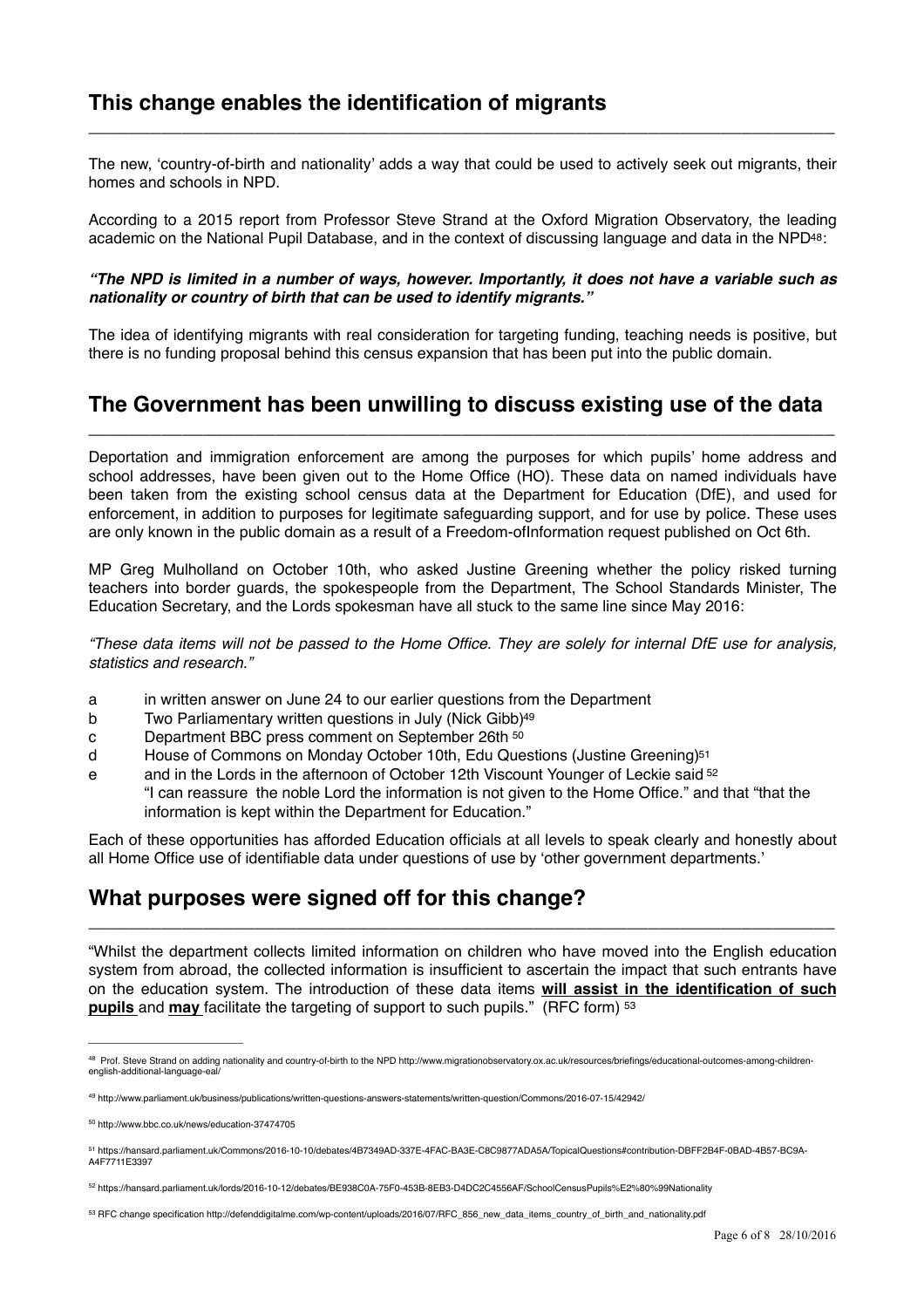The new, 'country-of-birth and nationality' adds a way that could be used to actively seek out migrants, their homes and schools in NPD.

**\_\_\_\_\_\_\_\_\_\_\_\_\_\_\_\_\_\_\_\_\_\_\_\_\_\_\_\_\_\_\_\_\_\_\_\_\_\_\_\_\_\_\_\_\_\_\_\_\_\_\_\_\_\_\_\_\_\_\_\_\_\_\_\_\_\_\_\_\_\_\_\_**

According to a 2015 report from Professor Steve Strand at the Oxford Migration Observatory, the leading academic on the National Pupil Database, and in the context of discussing language and data in the NPD<sup>[48](#page-5-0)</sup>:

#### <span id="page-5-6"></span>*"The NPD is limited in a number of ways, however. Importantly, it does not have a variable such as nationality or country of birth that can be used to identify migrants."*

The idea of identifying migrants with real consideration for targeting funding, teaching needs is positive, but there is no funding proposal behind this census expansion that has been put into the public domain.

### **The Government has been unwilling to discuss existing use of the data \_\_\_\_\_\_\_\_\_\_\_\_\_\_\_\_\_\_\_\_\_\_\_\_\_\_\_\_\_\_\_\_\_\_\_\_\_\_\_\_\_\_\_\_\_\_\_\_\_\_\_\_\_\_\_\_\_\_\_\_\_\_\_\_\_\_\_\_\_\_\_\_**

Deportation and immigration enforcement are among the purposes for which pupils' home address and school addresses, have been given out to the Home Office (HO). These data on named individuals have been taken from the existing school census data at the Department for Education (DfE), and used for enforcement, in addition to purposes for legitimate safeguarding support, and for use by police. These uses are only known in the public domain as a result of a Freedom-ofInformation request published on Oct 6th.

MP Greg Mulholland on October 10th, who asked Justine Greening whether the policy risked turning teachers into border guards, the spokespeople from the Department, The School Standards Minister, The Education Secretary, and the Lords spokesman have all stuck to the same line since May 2016:

*"These data items will not be passed to the Home Office. They are solely for internal DfE use for analysis, statistics and research."*

- a in written answer on June 24 to our earlier questions from the Department
- b Two Parliamentary written questions in July (Nick Gibb)<sup>49</sup>
- <span id="page-5-7"></span>c Department BBC press comment on September 26th [50](#page-5-2)
- d House of Commons on Monday October 10th, Edu Questions (Justine Greening[\)51](#page-5-3)
- <span id="page-5-10"></span><span id="page-5-9"></span><span id="page-5-8"></span>e and in the Lords in the afternoon of October 12th Viscount Younger of Leckie said [52](#page-5-4) "I can reassure the noble Lord the information is not given to the Home Office." and that "that the information is kept within the Department for Education."

Each of these opportunities has afforded Education officials at all levels to speak clearly and honestly about all Home Office use of identifiable data under questions of use by 'other government departments.'

# **What purposes were signed off for this change?**

"Whilst the department collects limited information on children who have moved into the English education system from abroad, the collected information is insufficient to ascertain the impact that such entrants have on the education system. The introduction of these data items **will assist in the identification of such pupils** and **may** facilitate the targeting of support to such pupils." (RFC form) [53](#page-5-5)

**\_\_\_\_\_\_\_\_\_\_\_\_\_\_\_\_\_\_\_\_\_\_\_\_\_\_\_\_\_\_\_\_\_\_\_\_\_\_\_\_\_\_\_\_\_\_\_\_\_\_\_\_\_\_\_\_\_\_\_\_\_\_\_\_\_\_\_\_\_\_\_\_**

<span id="page-5-11"></span><span id="page-5-0"></span><sup>48</sup> [Prof. Steve Strand on adding nationality and country-of-birth to the NPD http://www.migrationobservatory.ox.ac.uk/resources/briefings/educational-outcomes-among-children](http://www.migrationobservatory.ox.ac.uk/resources/briefings/educational-outcomes-among-children-english-additional-language-eal/) english-additional-language-ea

<span id="page-5-1"></span><http://www.parliament.uk/business/publications/written-questions-answers-statements/written-question/Commons/2016-07-15/42942/> [49](#page-5-7)

<span id="page-5-2"></span><http://www.bbc.co.uk/news/education-37474705> [50](#page-5-8)

<span id="page-5-3"></span>[https://hansard.parliament.uk/Commons/2016-10-10/debates/4B7349AD-337E-4FAC-BA3E-C8C9877ADA5A/TopicalQuestions#contribution-DBFF2B4F-0BAD-4B57-BC9A-](https://hansard.parliament.uk/Commons/2016-10-10/debates/4B7349AD-337E-4FAC-BA3E-C8C9877ADA5A/TopicalQuestions#contribution-DBFF2B4F-0BAD-4B57-BC9A-A4F7711E3397) [51](#page-5-9) A4F7711E3397

<span id="page-5-4"></span><https://hansard.parliament.uk/lords/2016-10-12/debates/BE938C0A-75F0-453B-8EB3-D4DC2C4556AF/SchoolCensusPupils%E2%80%99Nationality> [52](#page-5-10)

<span id="page-5-5"></span>RFC change specification [http://defenddigitalme.com/wp-content/uploads/2016/07/RFC\\_856\\_new\\_data\\_items\\_country\\_of\\_birth\\_and\\_nationality.pdf](http://defenddigitalme.com/wp-content/uploads/2016/07/RFC_856_new_data_items_country_of_birth_and_nationality.pdf) [53](#page-5-11)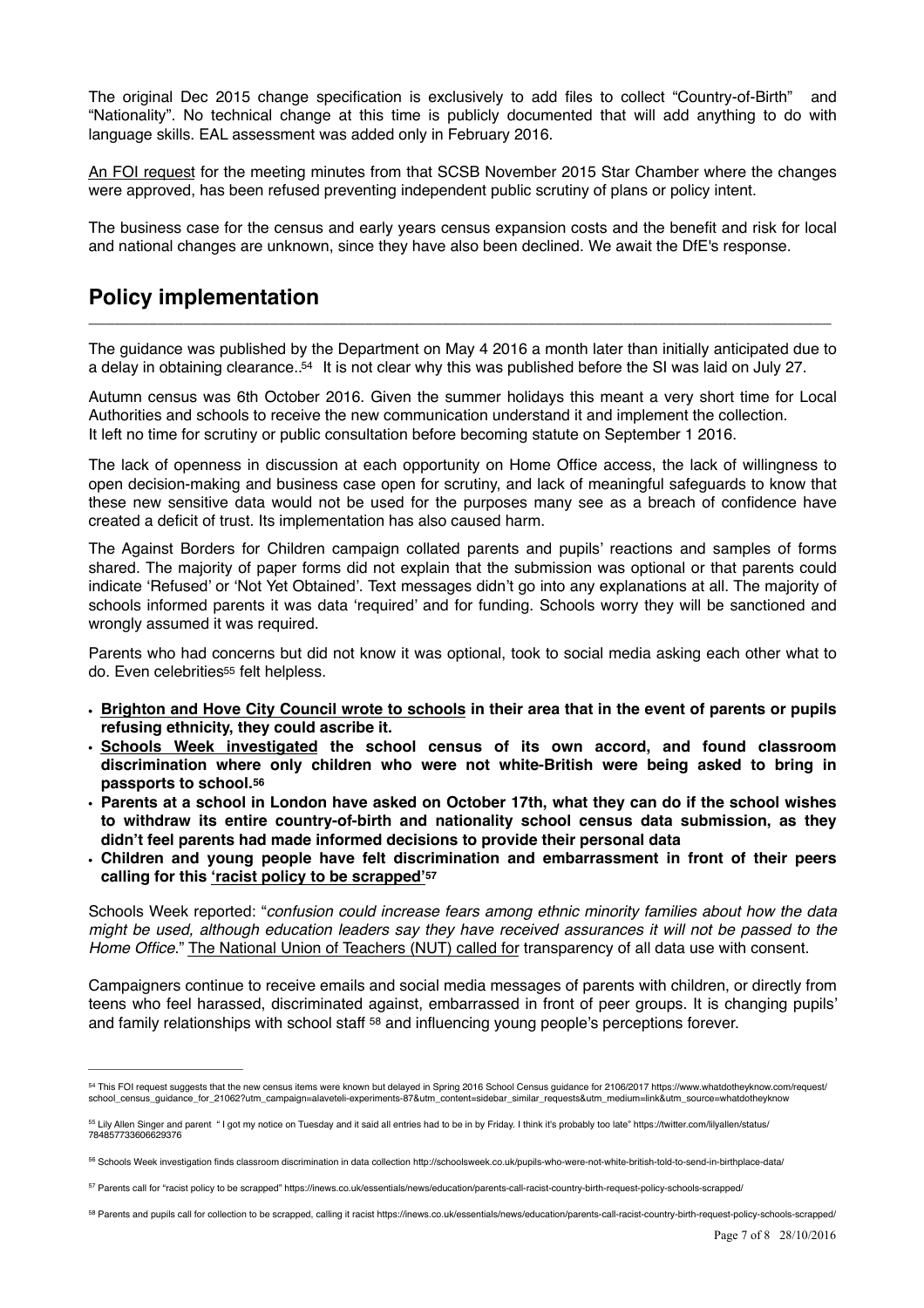The original Dec 2015 change specification is exclusively to add files to collect "Country-of-Birth" and "Nationality". No technical change at this time is publicly documented that will add anything to do with language skills. EAL assessment was added only in February 2016.

[An FOI request](https://www.whatdotheyknow.com/request/pupil_data_decision_making_on_ad#outgoing-574764) for the meeting minutes from that SCSB November 2015 Star Chamber where the changes were approved, has been refused preventing independent public scrutiny of plans or policy intent.

The business case for the census and early years census expansion costs and the benefit and risk for local and national changes are unknown, since they have also been declined. We await the DfE's response.

# **Policy implementation**

The guidance was published by the Department on May 4 2016 a month later than initially anticipated due to a delay in obtaining clearance.  $54$  It is not clear why this was published before the SI was laid on July 27.

 $\Box$ 

<span id="page-6-5"></span>Autumn census was 6th October 2016. Given the summer holidays this meant a very short time for Local Authorities and schools to receive the new communication understand it and implement the collection. It left no time for scrutiny or public consultation before becoming statute on September 1 2016.

The lack of openness in discussion at each opportunity on Home Office access, the lack of willingness to open decision-making and business case open for scrutiny, and lack of meaningful safeguards to know that these new sensitive data would not be used for the purposes many see as a breach of confidence have created a deficit of trust. Its implementation has also caused harm.

The Against Borders for Children campaign collated parents and pupils' reactions and samples of forms shared. The majority of paper forms did not explain that the submission was optional or that parents could indicate 'Refused' or 'Not Yet Obtained'. Text messages didn't go into any explanations at all. The majority of schools informed parents it was data 'required' and for funding. Schools worry they will be sanctioned and wrongly assumed it was required.

<span id="page-6-6"></span>Parents who had concerns but did not know it was optional, took to social media asking each other what to do. Even celebritie[s](#page-6-1)<sup>[55](#page-6-1)</sup> felt helpless.

- **• [Brighton and Hove City Council wrote to schools](http://www.independent.co.uk/news/education/education-news/schools-told-to-guess-pupil-ethnicity-a7372271.html) in their area that in the event of parents or pupils refusing ethnicity, they could ascribe it.**
- **• [Schools Week investigated](http://schoolsweek.co.uk/pupils-who-were-not-white-british-told-to-send-in-birthplace-data/) the school census of its own accord, and found classroom discrimination where only children who were not white-British were being asked to bring in passports to school.[56](#page-6-2)**
- <span id="page-6-7"></span>**• Parents at a school in London have asked on October 17th, what they can do if the school wishes to withdraw its entire country-of-birth and nationality school census data submission, as they didn't feel parents had made informed decisions to provide their personal data**
- **• Children and young people have felt discrimination and embarrassment in front of their peers calling for this ['racist policy to be scrapped'](http://www.apple.com)[57](#page-6-3)**

<span id="page-6-8"></span>Schools Week reported: "*confusion could increase fears among ethnic minority families about how the data might be used, although education leaders say they have received assurances it will not be passed to the Home Office*." [The National Union of Teachers \(NUT\) called for](https://www.teachers.org.uk/news-events/press-releases-england/school-census-data) transparency of all data use with consent.

<span id="page-6-9"></span>Campaigners continue to receive emails and social media messages of parents with children, or directly from teens who feel harassed, discriminated against, embarrassed in front of peer groups. It is changing pupils' andfamily relationships with school staff  $58$  and influencing young people's perceptions forever.

<span id="page-6-4"></span>Parents and pupils call for collection to be scrapped, calling it racist https://inews.co.uk/essentials/news/education/parents-call-racist-country-birth-request-policy-schools-scrapped/ [58](#page-6-9)

<span id="page-6-0"></span><sup>&</sup>lt;sup>[54](#page-6-5)</sup> This FOI request suggests that the new census items were known but delayed in Spring 2016 School Census quidance for 2106/2017 https://www.whatdotheyknow.com/request/ school\_census\_guidance\_for\_21062?utm\_campaign=alaveteli-experiments-87&utm\_content=sidebar\_similar\_requests&utm\_medium=link&utm\_source=whatdotheyknow

<span id="page-6-1"></span><sup>&</sup>lt;sup>[55](#page-6-6)</sup> Lily Allen Singer and parent "I got my notice on Tuesday and it said all entries had to be in by Friday. I think it's probably too late" https://twitter.com/lilyallen/status/ 784857733606629376

<span id="page-6-2"></span>[<sup>56</sup>](#page-6-7) Schools Week investigation finds classroom discrimination in data collection http://schoolsweek.co.uk/pupils-who-were-not-white-british-told-to-send-in-birthplace-data/

<span id="page-6-3"></span><sup>&</sup>lt;sup>[57](#page-6-8)</sup> Parents call for "racist policy to be scrapped" https://inews.co.uk/essentials/news/education/parents-call-racist-country-birth-request-policy-schools-scrapped/